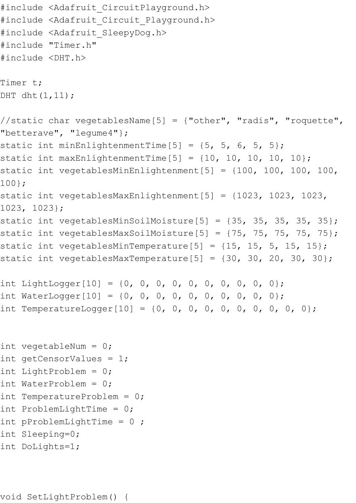```
#include <Adafruit CircuitPlayground.h>
#include <Adafruit Circuit Playground.h>
#include <Adafruit SleepyDog.h>
#include "Timer.h" 
#include <DHT.h>
Timer t;
DHT dht(1,11);
//static char vegetablesName[5] = {"other", "radis", "roquette", 
"betterave", "legume4"};
static int minEnlightenmentTime[5] = \{5, 5, 6, 5, 5\};
static int maxEnlightenmentTime[5] = \{10, 10, 10, 10, 10\};
static int vegetablesMinEnlightenment[5] = \{100, 100, 100, 100, 100\}100};
static int vegetablesMaxEnlightenment[5] = {1023, 1023, 1023, 
1023, 1023};
static int vegetablesMinSoilMoisture[5] = \{35, 35, 35, 35\};
static int vegetablesMaxSoilMoisture[5] = \{75, 75, 75, 75\};
static int vegetablesMinTemperature[5] = \{15, 15, 5, 15, 15\};
static int vegetablesMaxTemperature[5] = \{30, 30, 20, 30, 30\};
int LightLogger[10] = \{0, 0, 0, 0, 0, 0, 0, 0, 0\};
int WaterLogger[10] = {0, 0, 0, 0, 0, 0, 0, 0, 0};
int TemperatureLogger[10] = \{0, 0, 0, 0, 0, 0, 0, 0, 0\};
int vegetableNum = 0;
int getCensorValues = 1;
int LightProblem = 0;
int WaterProblem = 0;
int TemperatureProblem = 0;
int ProblemLightTime = 0;
int pProblemLightTime = 0;
int Sleeping=0;
```

```
int DoLights=1;
```

```
void SetLightProblem() {
```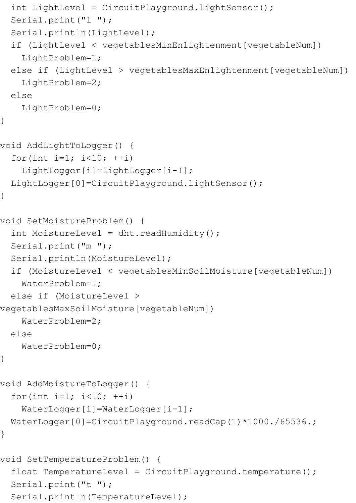```
 int LightLevel = CircuitPlayground.lightSensor();
  Serial.print("l ");
   Serial.println(LightLevel);
  if (LightLevel < vegetablesMinEnlightenment[vegetableNum])
     LightProblem=1;
  else if (LightLevel > vegetablesMaxEnlightenment[vegetableNum])
     LightProblem=2;
   else
     LightProblem=0;
}
void AddLightToLogger() {
  for(int i=1; i<10; ++i)
    LightLogger[i]=LightLogger[i-1];
   LightLogger[0]=CircuitPlayground.lightSensor();
}
void SetMoistureProblem() {
  int MoistureLevel = dht.readHumidity();
   Serial.print("m ");
   Serial.println(MoistureLevel);
   if (MoistureLevel < vegetablesMinSoilMoisture[vegetableNum])
    WaterProblem=1;
   else if (MoistureLevel > 
vegetablesMaxSoilMoisture[vegetableNum])
    WaterProblem=2;
  else
     WaterProblem=0;
}
void AddMoistureToLogger() {
  for(int i=1; i<10; ++i)
    WaterLogger[i]=WaterLogger[i-1];
 WaterLogger[0]=CircuitPlayground.readCap(1)*1000./65536.;
}
void SetTemperatureProblem() {
  float TemperatureLevel = CircuitPlayground.temperature();
   Serial.print("t ");
   Serial.println(TemperatureLevel);
```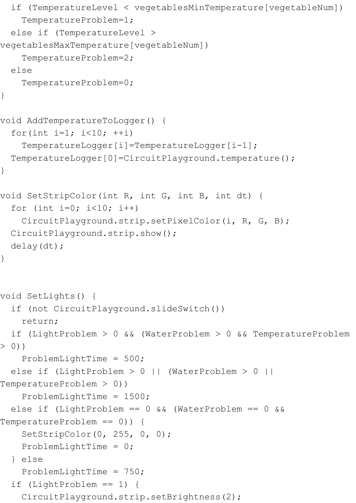```
 if (TemperatureLevel < vegetablesMinTemperature[vegetableNum])
     TemperatureProblem=1;
   else if (TemperatureLevel > 
vegetablesMaxTemperature[vegetableNum])
     TemperatureProblem=2;
  else
     TemperatureProblem=0;
}
void AddTemperatureToLogger() {
 for(int i=1; i<10; ++i)
    TemperatureLogger[i]=TemperatureLogger[i-1];
   TemperatureLogger[0]=CircuitPlayground.temperature();
}
void SetStripColor(int R, int G, int B, int dt) {
  for (int i=0; i<10; i++)
    CircuitPlayground.strip.setPixelColor(i, R, G, B);
  CircuitPlayground.strip.show();
  delay(dt);
}
void SetLights() {
   if (not CircuitPlayground.slideSwitch())
     return;
  if (LightProblem > 0 && (WaterProblem > 0 && TemperatureProblem 
> 0))
     ProblemLightTime = 500;
  else if (LightProblem > 0 || (WaterProblem > 0 || 
TemperatureProblem > 0))
     ProblemLightTime = 1500;
  else if (LightProblem == 0 && (WaterProblem == 0 && 
TemperatureProblem == 0)) {
    SetStripColor(0, 255, 0, 0);
     ProblemLightTime = 0;
   } else
     ProblemLightTime = 750;
  if (LightProblem == 1) {
     CircuitPlayground.strip.setBrightness(2);
```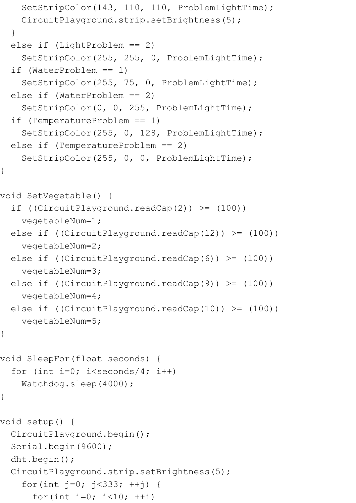```
 SetStripColor(143, 110, 110, ProblemLightTime);
     CircuitPlayground.strip.setBrightness(5);
   }
  else if (LightProblem == 2)
    SetStripColor(255, 255, 0, ProblemLightTime);
   if (WaterProblem == 1)
    SetStripColor(255, 75, 0, ProblemLightTime);
   else if (WaterProblem == 2)
    SetStripColor(0, 0, 255, ProblemLightTime);
   if (TemperatureProblem == 1)
     SetStripColor(255, 0, 128, ProblemLightTime);
   else if (TemperatureProblem == 2)
    SetStripColor(255, 0, 0, ProblemLightTime);
void SetVegetable() {
 if ((CircuitPlayground.readCap(2)) \geq (100)) vegetableNum=1;
  else if ((CircuitPlayground.readCap(12)) >= (100))
     vegetableNum=2;
 else if ((CircuitPlayground.readCap(6)) >=(100))
     vegetableNum=3;
 else if ((CircuitPlayground.readCap(9)) >=(100))
    vegetableNum=4;
 else if ((CircuitPlayground.readCap(10)) >= (100))
    vegetableNum=5;
void SleepFor(float seconds) {
  for (int i=0; i<seconds/4; i++)
    Watchdog.sleep(4000);
}
void setup() {
  CircuitPlayground.begin();
   Serial.begin(9600);
  dht.begin();
  CircuitPlayground.strip.setBrightness(5);
     for(int j=0; j<333; ++j) {
      for(int i=0; i<10; ++i)
```
}

}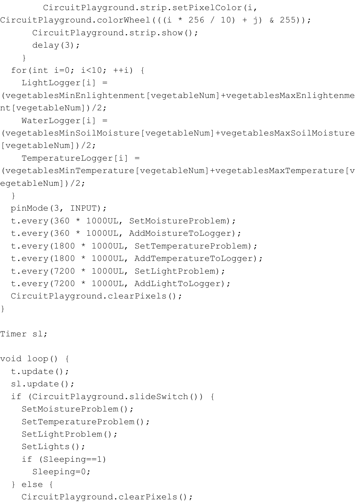```
 CircuitPlayground.strip.setPixelColor(i, 
CircuitPlayground.colorWheel(((i * 256 / 10) + j) & 255));
       CircuitPlayground.strip.show();
       delay(3);
     }
  for(int i=0; i<10; ++i) {
    LightLogger[i] =(vegetablesMinEnlightenment[vegetableNum]+vegetablesMaxEnlightenme
nt[vegetableNum])/2;
    WaterLogger[i] =(vegetablesMinSoilMoisture[vegetableNum]+vegetablesMaxSoilMoisture
[vegetableNum])/2;
     TemperatureLogger[i] = 
(vegetablesMinTemperature[vegetableNum]+vegetablesMaxTemperature[v
egetableNum])/2;
 }
  pinMode(3, INPUT);
  t.every(360 * 1000UL, SetMoistureProblem);
  t.every(360 * 1000UL, AddMoistureToLogger);
  t.every(1800 * 1000UL, SetTemperatureProblem);
  t.every(1800 * 1000UL, AddTemperatureToLogger);
  t.every(7200 * 1000UL, SetLightProblem);
  t.every(7200 * 1000UL, AddLightToLogger);
  CircuitPlayground.clearPixels();
}
Timer sl;
void loop() {
  t.update();
   sl.update();
  if (CircuitPlayground.slideSwitch()) {
     SetMoistureProblem();
     SetTemperatureProblem();
     SetLightProblem();
    SetLights();
     if (Sleeping==1)
       Sleeping=0;
   } else {
     CircuitPlayground.clearPixels();
```